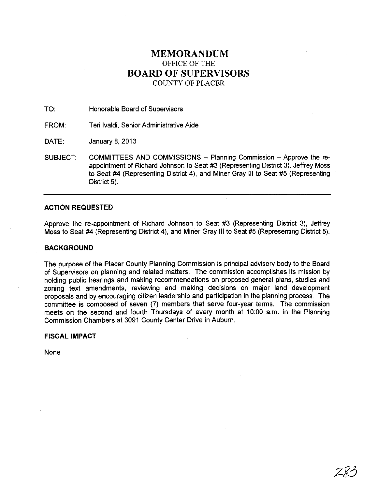# **MEMORANUUM**  OFFICE OF THE **BOARD OF SUPERVISORS**  COUNTY OF PLACER

TO: Honorable Board of Supervisors

FROM: Teri Ivaldi, Senior Administrative Aide

DATE: January 8, 2013

SUBJECT: COMMITTEES AND COMMISSIONS - Planning Commission - Approve the reappointment of Richard Johnson to Seat #3 (Representing District 3), Jeffrey Moss to Seat #4 (Representing District 4), and Miner Gray III to Seat #5 (Representing District 5).

# **ACTION REQUESTED**

Approve the re-appointment of Richard Johnson to Seat #3 (Representing District 3), Jeffrey Moss to Seat #4 (Representing District 4), and Miner Gray III to Seat #5 (Representing District 5).

# **BACKGROUND**

The purpose of the Placer County Planning Commission is principal advisory body to the Board of Supervisors on planning and related matters. The commission accomplishes its mission by holding public hearings and making recommendations on proposed general plans, studies and zoning text amendments, reviewing and making decisions on major land development proposals and by encouraging citizen leadership and participation in the planning process. The committee is composed of seven (7) members that serve four-year terms. The commission meets on the second and fourth Thursdays of every month at 10:00 a.m. in the Planning Commission Chambers at 3091 County Center Drive in Auburn.

# **FISCAL IMPACT**

None